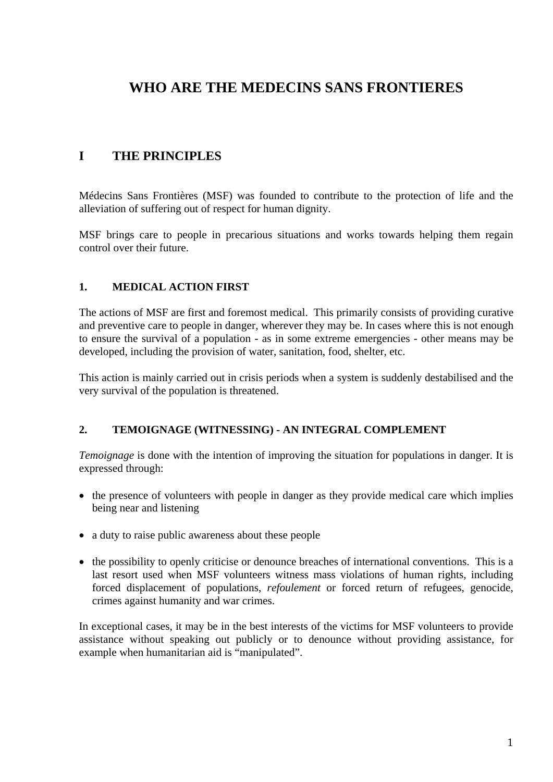# **WHO ARE THE MEDECINS SANS FRONTIERES**

# **I THE PRINCIPLES**

Médecins Sans Frontières (MSF) was founded to contribute to the protection of life and the alleviation of suffering out of respect for human dignity.

MSF brings care to people in precarious situations and works towards helping them regain control over their future.

#### **1. MEDICAL ACTION FIRST**

The actions of MSF are first and foremost medical. This primarily consists of providing curative and preventive care to people in danger, wherever they may be. In cases where this is not enough to ensure the survival of a population - as in some extreme emergencies - other means may be developed, including the provision of water, sanitation, food, shelter, etc.

This action is mainly carried out in crisis periods when a system is suddenly destabilised and the very survival of the population is threatened.

#### **2. TEMOIGNAGE (WITNESSING) - AN INTEGRAL COMPLEMENT**

*Temoignage* is done with the intention of improving the situation for populations in danger. It is expressed through:

- the presence of volunteers with people in danger as they provide medical care which implies being near and listening
- a duty to raise public awareness about these people
- the possibility to openly criticise or denounce breaches of international conventions. This is a last resort used when MSF volunteers witness mass violations of human rights, including forced displacement of populations, *refoulement* or forced return of refugees, genocide, crimes against humanity and war crimes.

In exceptional cases, it may be in the best interests of the victims for MSF volunteers to provide assistance without speaking out publicly or to denounce without providing assistance, for example when humanitarian aid is "manipulated".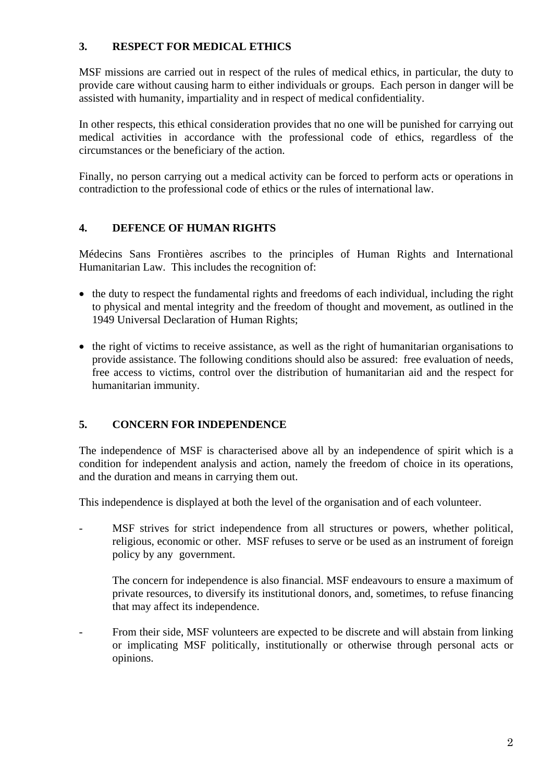## **3. RESPECT FOR MEDICAL ETHICS**

MSF missions are carried out in respect of the rules of medical ethics, in particular, the duty to provide care without causing harm to either individuals or groups. Each person in danger will be assisted with humanity, impartiality and in respect of medical confidentiality.

In other respects, this ethical consideration provides that no one will be punished for carrying out medical activities in accordance with the professional code of ethics, regardless of the circumstances or the beneficiary of the action.

Finally, no person carrying out a medical activity can be forced to perform acts or operations in contradiction to the professional code of ethics or the rules of international law.

# **4. DEFENCE OF HUMAN RIGHTS**

Médecins Sans Frontières ascribes to the principles of Human Rights and International Humanitarian Law. This includes the recognition of:

- the duty to respect the fundamental rights and freedoms of each individual, including the right to physical and mental integrity and the freedom of thought and movement, as outlined in the 1949 Universal Declaration of Human Rights;
- the right of victims to receive assistance, as well as the right of humanitarian organisations to provide assistance. The following conditions should also be assured: free evaluation of needs, free access to victims, control over the distribution of humanitarian aid and the respect for humanitarian immunity.

# **5. CONCERN FOR INDEPENDENCE**

The independence of MSF is characterised above all by an independence of spirit which is a condition for independent analysis and action, namely the freedom of choice in its operations, and the duration and means in carrying them out.

This independence is displayed at both the level of the organisation and of each volunteer.

- MSF strives for strict independence from all structures or powers, whether political, religious, economic or other. MSF refuses to serve or be used as an instrument of foreign policy by any government.

 The concern for independence is also financial. MSF endeavours to ensure a maximum of private resources, to diversify its institutional donors, and, sometimes, to refuse financing that may affect its independence.

- From their side, MSF volunteers are expected to be discrete and will abstain from linking or implicating MSF politically, institutionally or otherwise through personal acts or opinions.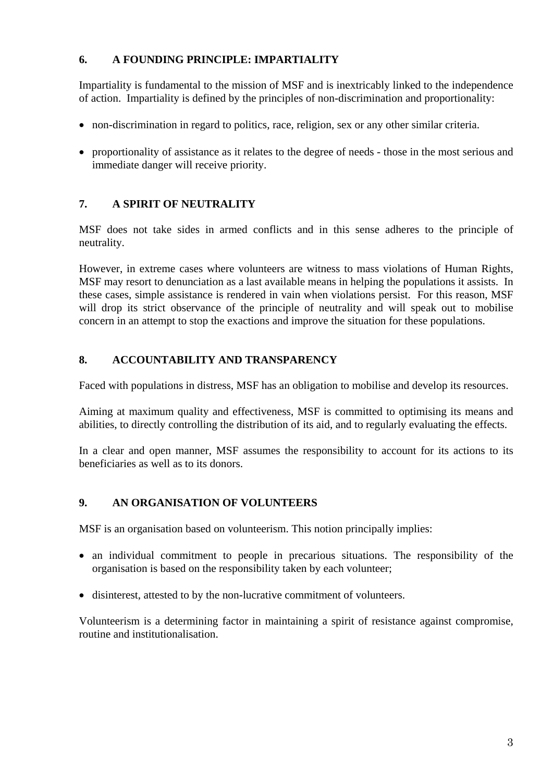## **6. A FOUNDING PRINCIPLE: IMPARTIALITY**

Impartiality is fundamental to the mission of MSF and is inextricably linked to the independence of action. Impartiality is defined by the principles of non-discrimination and proportionality:

- non-discrimination in regard to politics, race, religion, sex or any other similar criteria.
- proportionality of assistance as it relates to the degree of needs those in the most serious and immediate danger will receive priority.

# **7. A SPIRIT OF NEUTRALITY**

MSF does not take sides in armed conflicts and in this sense adheres to the principle of neutrality.

However, in extreme cases where volunteers are witness to mass violations of Human Rights, MSF may resort to denunciation as a last available means in helping the populations it assists. In these cases, simple assistance is rendered in vain when violations persist. For this reason, MSF will drop its strict observance of the principle of neutrality and will speak out to mobilise concern in an attempt to stop the exactions and improve the situation for these populations.

## **8. ACCOUNTABILITY AND TRANSPARENCY**

Faced with populations in distress, MSF has an obligation to mobilise and develop its resources.

Aiming at maximum quality and effectiveness, MSF is committed to optimising its means and abilities, to directly controlling the distribution of its aid, and to regularly evaluating the effects.

In a clear and open manner, MSF assumes the responsibility to account for its actions to its beneficiaries as well as to its donors.

#### **9. AN ORGANISATION OF VOLUNTEERS**

MSF is an organisation based on volunteerism. This notion principally implies:

- an individual commitment to people in precarious situations. The responsibility of the organisation is based on the responsibility taken by each volunteer;
- disinterest, attested to by the non-lucrative commitment of volunteers.

Volunteerism is a determining factor in maintaining a spirit of resistance against compromise, routine and institutionalisation.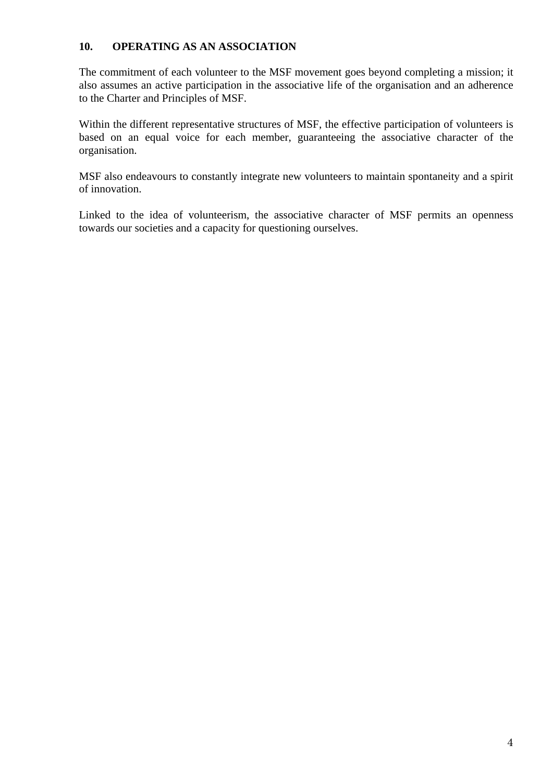#### **10. OPERATING AS AN ASSOCIATION**

The commitment of each volunteer to the MSF movement goes beyond completing a mission; it also assumes an active participation in the associative life of the organisation and an adherence to the Charter and Principles of MSF.

Within the different representative structures of MSF, the effective participation of volunteers is based on an equal voice for each member, guaranteeing the associative character of the organisation.

MSF also endeavours to constantly integrate new volunteers to maintain spontaneity and a spirit of innovation.

Linked to the idea of volunteerism, the associative character of MSF permits an openness towards our societies and a capacity for questioning ourselves.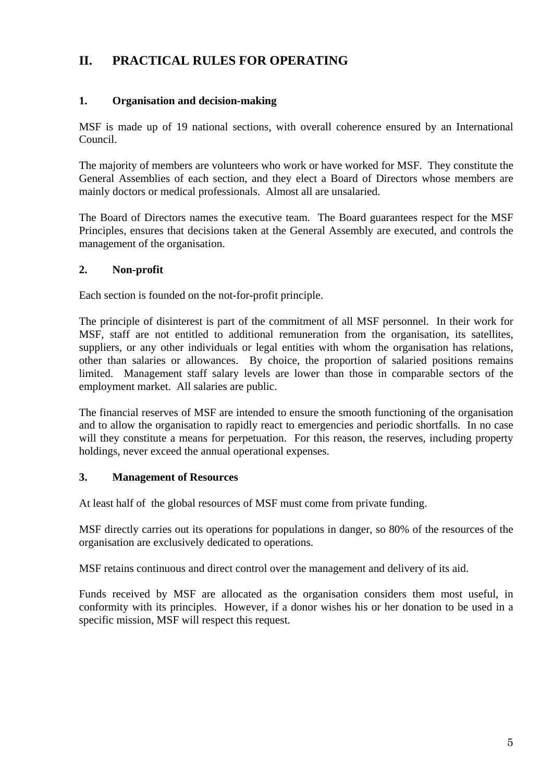# **II. PRACTICAL RULES FOR OPERATING**

# **1. Organisation and decision-making**

MSF is made up of 19 national sections, with overall coherence ensured by an International Council.

The majority of members are volunteers who work or have worked for MSF. They constitute the General Assemblies of each section, and they elect a Board of Directors whose members are mainly doctors or medical professionals. Almost all are unsalaried.

The Board of Directors names the executive team. The Board guarantees respect for the MSF Principles, ensures that decisions taken at the General Assembly are executed, and controls the management of the organisation.

#### **2. Non-profit**

Each section is founded on the not-for-profit principle.

The principle of disinterest is part of the commitment of all MSF personnel. In their work for MSF, staff are not entitled to additional remuneration from the organisation, its satellites, suppliers, or any other individuals or legal entities with whom the organisation has relations, other than salaries or allowances. By choice, the proportion of salaried positions remains limited. Management staff salary levels are lower than those in comparable sectors of the employment market. All salaries are public.

The financial reserves of MSF are intended to ensure the smooth functioning of the organisation and to allow the organisation to rapidly react to emergencies and periodic shortfalls. In no case will they constitute a means for perpetuation. For this reason, the reserves, including property holdings, never exceed the annual operational expenses.

#### **3. Management of Resources**

At least half of the global resources of MSF must come from private funding.

MSF directly carries out its operations for populations in danger, so 80% of the resources of the organisation are exclusively dedicated to operations.

MSF retains continuous and direct control over the management and delivery of its aid.

Funds received by MSF are allocated as the organisation considers them most useful, in conformity with its principles. However, if a donor wishes his or her donation to be used in a specific mission, MSF will respect this request.